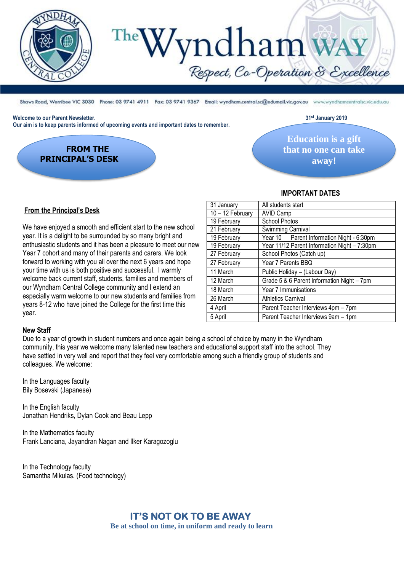

# Vndham WAY

Shaws Road, Werribee VIC 3030 Phone: 03 9741 4911 Fax: 03 9741 9367 Email: wyndham.central.sc@edumail.vic.gov.au www.wyndhamcentralsc.vic.edu.au

#### **Welcome to our Parent Newsletter. 31st January 2019**

**Our aim is to keep parents informed of upcoming events and important dates to remember.** 

 **FROM THE PRINCIPAL'S DESK**

**Education is a gift that no one can take away!**

#### **IMPORTANT DATES**

#### **From the Principal's Desk**

We have enjoyed a smooth and efficient start to the new school year. It is a delight to be surrounded by so many bright and enthusiastic students and it has been a pleasure to meet our new Year 7 cohort and many of their parents and carers. We look forward to working with you all over the next 6 years and hope your time with us is both positive and successful. I warmly welcome back current staff, students, families and members of our Wyndham Central College community and I extend an especially warm welcome to our new students and families from years 8-12 who have joined the College for the first time this year.

| 31 January       | All students start                           |
|------------------|----------------------------------------------|
| 10 - 12 February | <b>AVID Camp</b>                             |
| 19 February      | School Photos                                |
| 21 February      | Swimming Carnival                            |
| 19 February      | Year 10 Parent Information Night - 6:30pm    |
| 19 February      | Year 11/12 Parent Information Night - 7:30pm |
| 27 February      | School Photos (Catch up)                     |
| 27 February      | Year 7 Parents BBQ                           |
| 11 March         | Public Holiday - (Labour Day)                |
| 12 March         | Grade 5 & 6 Parent Information Night - 7pm   |
| 18 March         | Year 7 Immunisations                         |
| 26 March         | <b>Athletics Carnival</b>                    |
| 4 April          | Parent Teacher Interviews 4pm - 7pm          |
| 5 April          | Parent Teacher Interviews 9am - 1pm          |
|                  |                                              |

#### **New Staff**

Due to a year of growth in student numbers and once again being a school of choice by many in the Wyndham community, this year we welcome many talented new teachers and educational support staff into the school. They have settled in very well and report that they feel very comfortable among such a friendly group of students and colleagues. We welcome:

In the Languages faculty Bily Bosevski (Japanese)

In the English faculty Jonathan Hendriks, Dylan Cook and Beau Lepp

In the Mathematics faculty Frank Lanciana, Jayandran Nagan and Ilker Karagozoglu

In the Technology faculty Samantha Mikulas. (Food technology)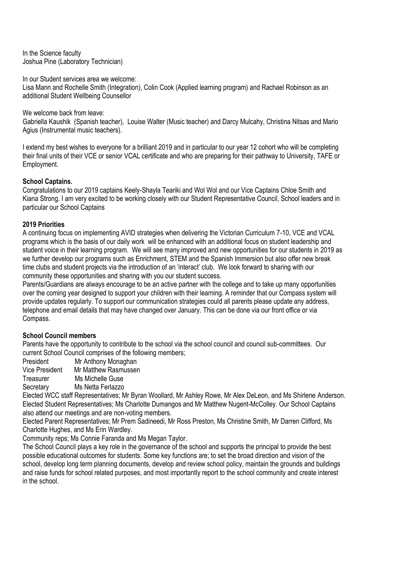In the Science faculty Joshua Pine (Laboratory Technician)

In our Student services area we welcome:

Lisa Mann and Rochelle Smith (Integration), Colin Cook (Applied learning program) and Rachael Robinson as an additional Student Wellbeing Counsellor

We welcome back from leave: Gabriella Kaushik (Spanish teacher), Louise Walter (Music teacher) and Darcy Mulcahy, Christina Nitsas and Mario Agius (Instrumental music teachers).

I extend my best wishes to everyone for a brilliant 2019 and in particular to our year 12 cohort who will be completing their final units of their VCE or senior VCAL certificate and who are preparing for their pathway to University, TAFE or Employment.

#### **School Captains.**

Congratulations to our 2019 captains Keely-Shayla Teariki and Wol Wol and our Vice Captains Chloe Smith and Kiana Strong. I am very excited to be working closely with our Student Representative Council, School leaders and in particular our School Captains

## **2019 Priorities**

A continuing focus on implementing AVID strategies when delivering the Victorian Curriculum 7-10, VCE and VCAL programs which is the basis of our daily work will be enhanced with an additional focus on student leadership and student voice in their learning program. We will see many improved and new opportunities for our students in 2019 as we further develop our programs such as Enrichment, STEM and the Spanish Immersion but also offer new break time clubs and student projects via the introduction of an 'interact' club. We look forward to sharing with our community these opportunities and sharing with you our student success.

Parents/Guardians are always encourage to be an active partner with the college and to take up many opportunities over the coming year designed to support your children with their learning. A reminder that our Compass system will provide updates regularly. To support our communication strategies could all parents please update any address, telephone and email details that may have changed over January. This can be done via our front office or via Compass.

#### **School Council members**

Parents have the opportunity to contribute to the school via the school council and council sub-committees. Our current School Council comprises of the following members;

President Mr Anthony Monaghan

Vice President Mr Matthew Rasmussen

Treasurer Ms Michelle Guse

Secretary Ms Netta Ferlazzo

Elected WCC staff Representatives; Mr Byran Woollard, Mr Ashley Rowe, Mr Alex DeLeon, and Ms Shirlene Anderson. Elected Student Representatives; Ms Charlotte Dumangos and Mr Matthew Nugent-McColley. Our School Captains also attend our meetings and are non-voting members.

Elected Parent Representatives; Mr Prem Sadineedi, Mr Ross Preston, Ms Christine Smith, Mr Darren Clifford, Ms Charlotte Hughes, and Ms Erin Wardley.

Community reps; Ms Connie Faranda and Ms Megan Taylor.

The School Council plays a key role in the governance of the school and supports the principal to provide the best possible educational outcomes for students. Some key functions are; to set the broad direction and vision of the school, develop long term planning documents, develop and review school policy, maintain the grounds and buildings and raise funds for school related purposes, and most importantly report to the school community and create interest in the school.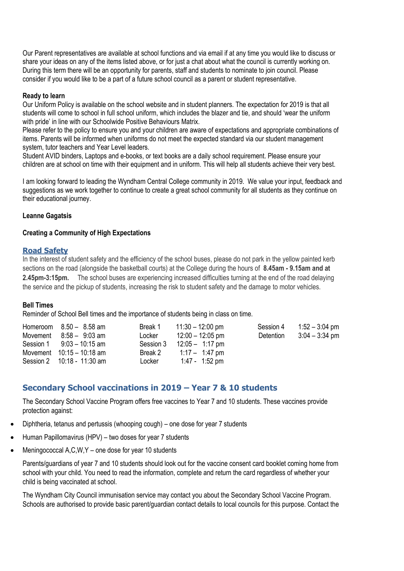Our Parent representatives are available at school functions and via email if at any time you would like to discuss or share your ideas on any of the items listed above, or for just a chat about what the council is currently working on. During this term there will be an opportunity for parents, staff and students to nominate to join council. Please consider if you would like to be a part of a future school council as a parent or student representative.

#### **Ready to learn**

Our Uniform Policy is available on the school website and in student planners. The expectation for 2019 is that all students will come to school in full school uniform, which includes the blazer and tie, and should 'wear the uniform with pride' in line with our Schoolwide Positive Behaviours Matrix.

Please refer to the policy to ensure you and your children are aware of expectations and appropriate combinations of items. Parents will be informed when uniforms do not meet the expected standard via our student management system, tutor teachers and Year Level leaders.

Student AVID binders, Laptops and e-books, or text books are a daily school requirement. Please ensure your children are at school on time with their equipment and in uniform. This will help all students achieve their very best.

I am looking forward to leading the Wyndham Central College community in 2019. We value your input, feedback and suggestions as we work together to continue to create a great school community for all students as they continue on their educational journey.

#### **Leanne Gagatsis**

#### **Creating a Community of High Expectations**

#### **Road Safety**

In the interest of student safety and the efficiency of the school buses, please do not park in the yellow painted kerb sections on the road (alongside the basketball courts) at the College during the hours of **8.45am - 9.15am and at 2.45pm-3:15pm.** The school buses are experiencing increased difficulties turning at the end of the road delaying the service and the pickup of students, increasing the risk to student safety and the damage to motor vehicles.

#### **Bell Times**

Reminder of School Bell times and the importance of students being in class on time.

| Homeroom $8.50 - 8.58$ am      | Break 1 | $11:30 - 12:00$ pm                    | Session 4 | $1:52 - 3:04$ pm |
|--------------------------------|---------|---------------------------------------|-----------|------------------|
| Movement $8:58 - 9:03$ am      | Locker  | $12:00 - 12:05$ pm                    | Detention | $3:04 - 3:34$ pm |
| Session $1 \t 9:03 - 10:15$ am |         | Session $3 \t12:05 - 1:17 \text{ pm}$ |           |                  |
| Movement $10:15 - 10:18$ am    | Break 2 | 1:17 $-$ 1:47 pm                      |           |                  |
| Session 2 10:18 - 11:30 am     | Locker  | 1:47 - 1:52 pm                        |           |                  |

# **Secondary School vaccinations in 2019 – Year 7 & 10 students**

The Secondary School Vaccine Program offers free vaccines to Year 7 and 10 students. These vaccines provide protection against:

- Diphtheria, tetanus and pertussis (whooping cough) one dose for year 7 students
- Human Papillomavirus (HPV) two doses for year 7 students
- Meningococcal A,C,W,Y one dose for year 10 students

Parents/guardians of year 7 and 10 students should look out for the vaccine consent card booklet coming home from school with your child. You need to read the information, complete and return the card regardless of whether your child is being vaccinated at school.

The Wyndham City Council immunisation service may contact you about the Secondary School Vaccine Program. Schools are authorised to provide basic parent/guardian contact details to local councils for this purpose. Contact the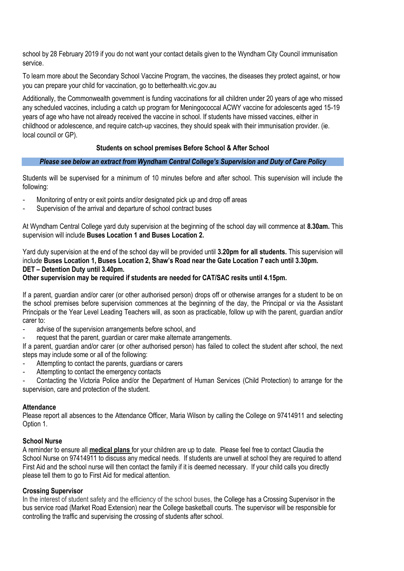school by 28 February 2019 if you do not want your contact details given to the Wyndham City Council immunisation service.

To learn more about the Secondary School Vaccine Program, the vaccines, the diseases they protect against, or how you can prepare your child for vaccination, go to betterhealth.vic.gov.au

Additionally, the Commonwealth government is funding vaccinations for all children under 20 years of age who missed any scheduled vaccines, including a catch up program for Meningococcal ACWY vaccine for adolescents aged 15-19 years of age who have not already received the vaccine in school. If students have missed vaccines, either in childhood or adolescence, and require catch-up vaccines, they should speak with their immunisation provider. (ie. local council or GP).

#### **Students on school premises Before School & After School**

#### *Please see below an extract from Wyndham Central College's Supervision and Duty of Care Policy*

Students will be supervised for a minimum of 10 minutes before and after school. This supervision will include the following:

- Monitoring of entry or exit points and/or designated pick up and drop off areas
- Supervision of the arrival and departure of school contract buses

At Wyndham Central College yard duty supervision at the beginning of the school day will commence at **8.30am.** This supervision will include **Buses Location 1 and Buses Location 2.**

Yard duty supervision at the end of the school day will be provided until **3.20pm for all students.** This supervision will include **Buses Location 1, Buses Location 2, Shaw's Road near the Gate Location 7 each until 3.30pm. DET – Detention Duty until 3.40pm.**

#### **Other supervision may be required if students are needed for CAT/SAC resits until 4.15pm.**

If a parent, guardian and/or carer (or other authorised person) drops off or otherwise arranges for a student to be on the school premises before supervision commences at the beginning of the day, the Principal or via the Assistant Principals or the Year Level Leading Teachers will, as soon as practicable, follow up with the parent, guardian and/or carer to:

- advise of the supervision arrangements before school, and
- request that the parent, guardian or carer make alternate arrangements.

If a parent, guardian and/or carer (or other authorised person) has failed to collect the student after school, the next steps may include some or all of the following:

- Attempting to contact the parents, quardians or carers
- Attempting to contact the emergency contacts

- Contacting the Victoria Police and/or the Department of Human Services (Child Protection) to arrange for the supervision, care and protection of the student.

#### **Attendance**

Please report all absences to the Attendance Officer, Maria Wilson by calling the College on 97414911 and selecting Option 1.

#### **School Nurse**

A reminder to ensure all **medical plans** for your children are up to date. Please feel free to contact Claudia the School Nurse on 97414911 to discuss any medical needs. If students are unwell at school they are required to attend First Aid and the school nurse will then contact the family if it is deemed necessary. If your child calls you directly please tell them to go to First Aid for medical attention.

#### **Crossing Supervisor**

In the interest of student safety and the efficiency of the school buses, the College has a Crossing Supervisor in the bus service road (Market Road Extension) near the College basketball courts. The supervisor will be responsible for controlling the traffic and supervising the crossing of students after school.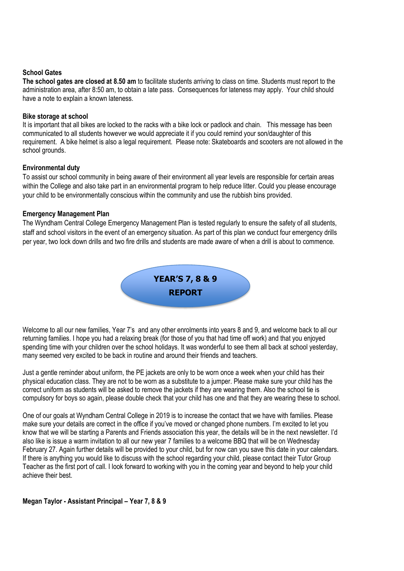#### **School Gates**

**The school gates are closed at 8.50 am** to facilitate students arriving to class on time. Students must report to the administration area, after 8:50 am, to obtain a late pass. Consequences for lateness may apply. Your child should have a note to explain a known lateness.

#### **Bike storage at school**

It is important that all bikes are locked to the racks with a bike lock or padlock and chain. This message has been communicated to all students however we would appreciate it if you could remind your son/daughter of this requirement. A bike helmet is also a legal requirement. Please note: Skateboards and scooters are not allowed in the school grounds.

#### **Environmental duty**

To assist our school community in being aware of their environment all year levels are responsible for certain areas within the College and also take part in an environmental program to help reduce litter. Could you please encourage your child to be environmentally conscious within the community and use the rubbish bins provided.

#### **Emergency Management Plan**

The Wyndham Central College Emergency Management Plan is tested regularly to ensure the safety of all students, staff and school visitors in the event of an emergency situation. As part of this plan we conduct four emergency drills per year, two lock down drills and two fire drills and students are made aware of when a drill is about to commence.



Welcome to all our new families, Year 7's and any other enrolments into years 8 and 9, and welcome back to all our returning families. I hope you had a relaxing break (for those of you that had time off work) and that you enjoyed spending time with your children over the school holidays. It was wonderful to see them all back at school yesterday, many seemed very excited to be back in routine and around their friends and teachers.

Just a gentle reminder about uniform, the PE jackets are only to be worn once a week when your child has their physical education class. They are not to be worn as a substitute to a jumper. Please make sure your child has the correct uniform as students will be asked to remove the jackets if they are wearing them. Also the school tie is compulsory for boys so again, please double check that your child has one and that they are wearing these to school.

One of our goals at Wyndham Central College in 2019 is to increase the contact that we have with families. Please make sure your details are correct in the office if you've moved or changed phone numbers. I'm excited to let you know that we will be starting a Parents and Friends association this year, the details will be in the next newsletter. I'd also like is issue a warm invitation to all our new year 7 families to a welcome BBQ that will be on Wednesday February 27. Again further details will be provided to your child, but for now can you save this date in your calendars. If there is anything you would like to discuss with the school regarding your child, please contact their Tutor Group Teacher as the first port of call. I look forward to working with you in the coming year and beyond to help your child achieve their best.

**Megan Taylor - Assistant Principal – Year 7, 8 & 9**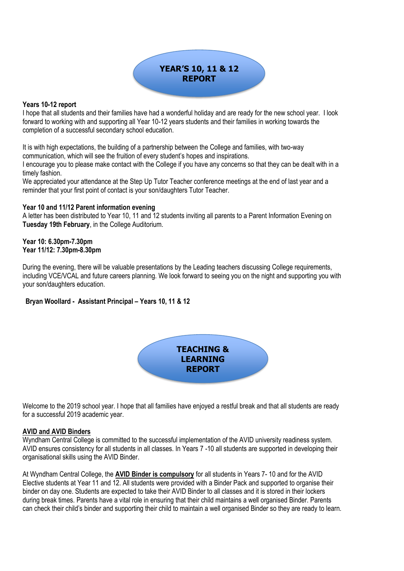# **YEAR'S 10, 11 & 12 REPORT**

#### **Years 10-12 report**

I hope that all students and their families have had a wonderful holiday and are ready for the new school year. I look forward to working with and supporting all Year 10-12 years students and their families in working towards the completion of a successful secondary school education.

It is with high expectations, the building of a partnership between the College and families, with two-way communication, which will see the fruition of every student's hopes and inspirations.

I encourage you to please make contact with the College if you have any concerns so that they can be dealt with in a timely fashion.

We appreciated your attendance at the Step Up Tutor Teacher conference meetings at the end of last year and a reminder that your first point of contact is your son/daughters Tutor Teacher.

#### **Year 10 and 11/12 Parent information evening**

A letter has been distributed to Year 10, 11 and 12 students inviting all parents to a Parent Information Evening on **Tuesday 19th February**, in the College Auditorium.

#### **Year 10: 6.30pm-7.30pm Year 11/12: 7.30pm-8.30pm**

During the evening, there will be valuable presentations by the Leading teachers discussing College requirements, including VCE/VCAL and future careers planning. We look forward to seeing you on the night and supporting you with your son/daughters education.

#### **Bryan Woollard - Assistant Principal – Years 10, 11 & 12**



Welcome to the 2019 school year. I hope that all families have enjoyed a restful break and that all students are ready for a successful 2019 academic year.

#### **AVID and AVID Binders**

Wyndham Central College is committed to the successful implementation of the AVID university readiness system. AVID ensures consistency for all students in all classes. In Years 7 -10 all students are supported in developing their organisational skills using the AVID Binder.

At Wyndham Central College, the **AVID Binder is compulsory** for all students in Years 7- 10 and for the AVID Elective students at Year 11 and 12. All students were provided with a Binder Pack and supported to organise their binder on day one. Students are expected to take their AVID Binder to all classes and it is stored in their lockers during break times. Parents have a vital role in ensuring that their child maintains a well organised Binder. Parents can check their child's binder and supporting their child to maintain a well organised Binder so they are ready to learn.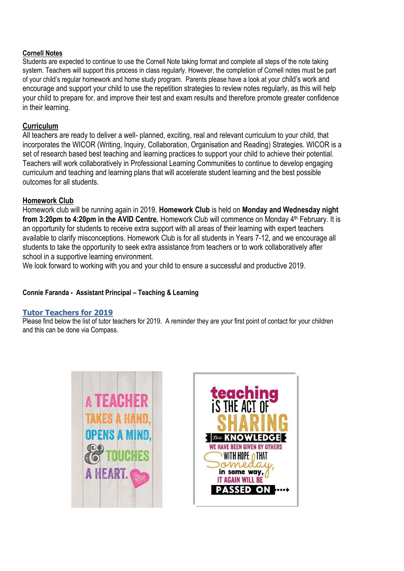### **Cornell Notes**

Students are expected to continue to use the Cornell Note taking format and complete all steps of the note taking system. Teachers will support this process in class regularly. However, the completion of Cornell notes must be part of your child's regular homework and home study program. Parents please have a look at your child's work and encourage and support your child to use the repetition strategies to review notes regularly, as this will help your child to prepare for, and improve their test and exam results and therefore promote greater confidence in their learning.

# **Curriculum**

All teachers are ready to deliver a well- planned, exciting, real and relevant curriculum to your child, that incorporates the WICOR (Writing, Inquiry, Collaboration, Organisation and Reading) Strategies. WICOR is a set of research based best teaching and learning practices to support your child to achieve their potential. Teachers will work collaboratively in Professional Learning Communities to continue to develop engaging curriculum and teaching and learning plans that will accelerate student learning and the best possible outcomes for all students.

# **Homework Club**

Homework club will be running again in 2019. **Homework Club** is held on **Monday and Wednesday night from 3:20pm to 4:20pm in the AVID Centre.** Homework Club will commence on Monday 4<sup>th</sup> February. It is an opportunity for students to receive extra support with all areas of their learning with expert teachers available to clarify misconceptions. Homework Club is for all students in Years 7-12, and we encourage all students to take the opportunity to seek extra assistance from teachers or to work collaboratively after school in a supportive learning environment.

We look forward to working with you and your child to ensure a successful and productive 2019.

#### **Connie Faranda - Assistant Principal – Teaching & Learning**

#### **Tutor Teachers for 2019**

Please find below the list of tutor teachers for 2019. A reminder they are your first point of contact for your children and this can be done via Compass.



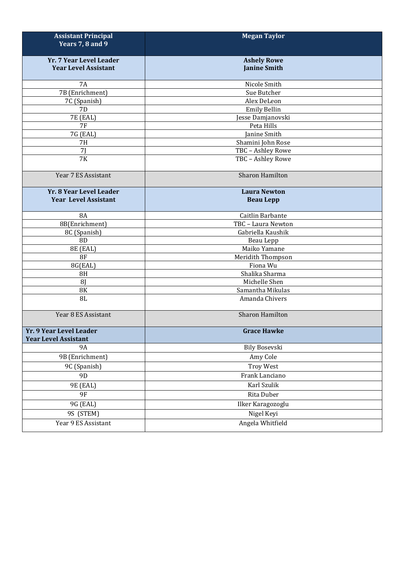| <b>Assistant Principal</b><br>Years 7, 8 and 9 | <b>Megan Taylor</b>    |  |  |
|------------------------------------------------|------------------------|--|--|
| Yr. 7 Year Level Leader                        | <b>Ashely Rowe</b>     |  |  |
| <b>Year Level Assistant</b>                    | <b>Janine Smith</b>    |  |  |
| <b>7A</b>                                      | Nicole Smith           |  |  |
| 7B (Enrichment)                                | Sue Butcher            |  |  |
| 7C (Spanish)                                   | Alex DeLeon            |  |  |
| 7D                                             | <b>Emily Bellin</b>    |  |  |
| 7E (EAL)                                       | Jesse Damjanovski      |  |  |
| <b>7F</b>                                      | Peta Hills             |  |  |
| 7G (EAL)                                       | Janine Smith           |  |  |
| <b>7H</b>                                      | Shamini John Rose      |  |  |
| 71                                             | TBC - Ashley Rowe      |  |  |
| 7K                                             | TBC - Ashley Rowe      |  |  |
| Year 7 ES Assistant                            | <b>Sharon Hamilton</b> |  |  |
| Yr. 8 Year Level Leader                        | <b>Laura Newton</b>    |  |  |
| <b>Year Level Assistant</b>                    | <b>Beau Lepp</b>       |  |  |
| <b>8A</b>                                      | Caitlin Barbante       |  |  |
| 8B(Enrichment)                                 | TBC - Laura Newton     |  |  |
| 8C (Spanish)                                   | Gabriella Kaushik      |  |  |
| 8D                                             | Beau Lepp              |  |  |
| 8E (EAL)                                       | Maiko Yamane           |  |  |
| 8F                                             | Meridith Thompson      |  |  |
| 8G(EAL)                                        | Fiona Wu               |  |  |
| 8H                                             | Shalika Sharma         |  |  |
| <b>8J</b>                                      | Michelle Shen          |  |  |
| $8\mathrm{K}$                                  | Samantha Mikulas       |  |  |
| 8L                                             | Amanda Chivers         |  |  |
| Year 8 ES Assistant                            | Sharon Hamilton        |  |  |
| Yr. 9 Year Level Leader                        | <b>Grace Hawke</b>     |  |  |
| <b>Year Level Assistant</b><br><b>9A</b>       | <b>Bily Bosevski</b>   |  |  |
| 9B (Enrichment)                                | Amy Cole               |  |  |
|                                                |                        |  |  |
| 9C (Spanish)                                   | <b>Troy West</b>       |  |  |
| 9 <sub>D</sub>                                 | Frank Lanciano         |  |  |
| 9E (EAL)                                       | Karl Szulik            |  |  |
| <b>9F</b>                                      | Rita Duber             |  |  |
| 9G (EAL)                                       | Ilker Karagozoglu      |  |  |
| 9S (STEM)                                      | Nigel Keyi             |  |  |
| Year 9 ES Assistant                            | Angela Whitfield       |  |  |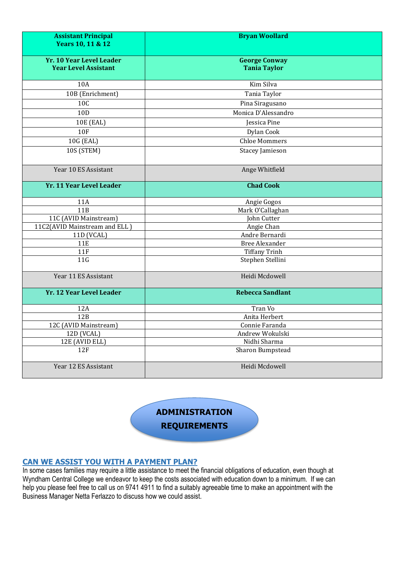| <b>Assistant Principal</b><br>Years 10, 11 & 12                | <b>Bryan Woollard</b>                       |
|----------------------------------------------------------------|---------------------------------------------|
| <b>Yr. 10 Year Level Leader</b><br><b>Year Level Assistant</b> | <b>George Conway</b><br><b>Tania Taylor</b> |
| 10A                                                            | Kim Silva                                   |
| 10B (Enrichment)                                               | Tania Taylor                                |
| <b>10C</b>                                                     | Pina Siragusano                             |
| 10 <sub>D</sub>                                                | Monica D'Alessandro                         |
| 10E (EAL)                                                      | Jessica Pine                                |
| <b>10F</b>                                                     | Dylan Cook                                  |
| 10G (EAL)                                                      | <b>Chloe Mommers</b>                        |
| 10S (STEM)                                                     | Stacey Jamieson                             |
| Year 10 ES Assistant                                           | Ange Whitfield                              |
| Yr. 11 Year Level Leader                                       | <b>Chad Cook</b>                            |
| 11A                                                            | Angie Gogos                                 |
| 11B                                                            | Mark O'Callaghan                            |
| 11C (AVID Mainstream)                                          | John Cutter                                 |
| 11C2(AVID Mainstream and ELL)                                  | Angie Chan                                  |
| 11D (VCAL)                                                     | Andre Bernardi                              |
| <b>11E</b>                                                     | <b>Bree Alexander</b>                       |
| 11F                                                            | <b>Tiffany Trinh</b>                        |
| 11G                                                            | Stephen Stellini                            |
| Year 11 ES Assistant                                           | Heidi Mcdowell                              |
| Yr. 12 Year Level Leader                                       | <b>Rebecca Sandlant</b>                     |
| 12A                                                            | Tran Vo                                     |
| 12B                                                            | Anita Herbert                               |
| 12C (AVID Mainstream)                                          | Connie Faranda                              |
| 12D (VCAL)                                                     | Andrew Wokulski                             |
| 12E (AVID ELL)                                                 | Nidhi Sharma                                |
| 12F                                                            | Sharon Bumpstead                            |
| Year 12 ES Assistant                                           | Heidi Mcdowell                              |

**ADMINISTRATION REQUIREMENTS**

#### **CAN WE ASSIST YOU WITH A PAYMENT PLAN?**

In some cases families may require a little assistance to meet the financial obligations of education, even though at Wyndham Central College we endeavor to keep the costs associated with education down to a minimum. If we can help you please feel free to call us on 9741 4911 to find a suitably agreeable time to make an appointment with the Business Manager Netta Ferlazzo to discuss how we could assist.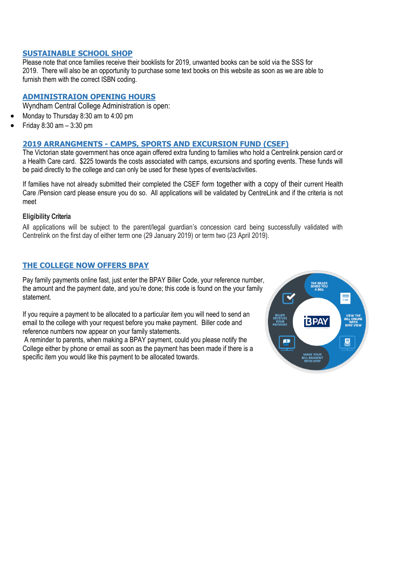#### **SUSTAINABLE SCHOOL SHOP**

Please note that once families receive their booklists for 2019, unwanted books can be sold via the SSS for 2019. There will also be an opportunity to purchase some text books on this website as soon as we are able to furnish them with the correct ISBN coding.

#### **ADMINISTRAION OPENING HOURS**

- Wyndham Central College Administration is open:
- Monday to Thursday 8:30 am to 4:00 pm
- Friday 8:30 am 3:30 pm

#### **2019 ARRANGMENTS - CAMPS, SPORTS AND EXCURSION FUND (CSEF)**

The Victorian state government has once again offered extra funding to families who hold a Centrelink pension card or a Health Care card. \$225 towards the costs associated with camps, excursions and sporting events. These funds will be paid directly to the college and can only be used for these types of events/activities.

If families have not already submitted their completed the CSEF form together with a copy of their current Health Care /Pension card please ensure you do so. All applications will be validated by CentreLink and if the criteria is not meet

#### **Eligibility Criteria**

All applications will be subject to the parent/legal guardian's concession card being successfully validated with Centrelink on the first day of either term one (29 January 2019) or term two (23 April 2019).

#### **THE COLLEGE NOW OFFERS BPAY**

Pay family payments online fast, just enter the BPAY Biller Code, your reference number, the amount and the payment date, and you're done; this code is found on the your family statement.

If you require a payment to be allocated to a particular item you will need to send an email to the college with your request before you make payment. Biller code and reference numbers now appear on your family statements.

A reminder to parents, when making a BPAY payment, could you please notify the College either by phone or email as soon as the payment has been made if there is a specific item you would like this payment to be allocated towards.